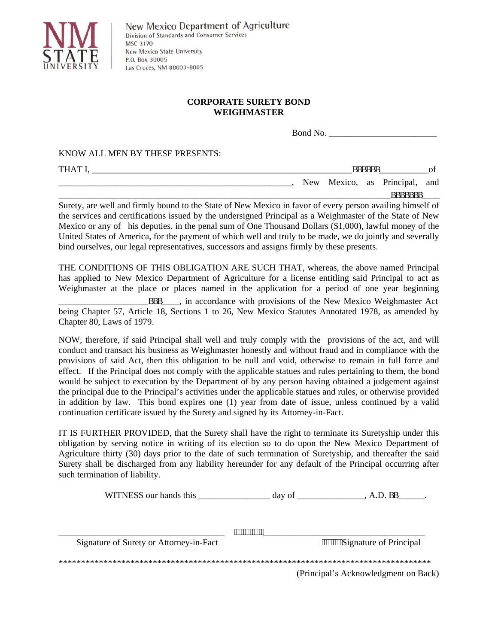

## **CORPORATE SURETY BOND WEIGHMASTER**

Bond No. \_\_\_\_\_\_\_\_\_\_\_\_\_\_\_\_\_\_\_\_\_\_\_\_

KNOW ALL MEN BY THESE PRESENTS:

| THAT I. |  |  |  |      |         |  | aaaaaa |                               |   |
|---------|--|--|--|------|---------|--|--------|-------------------------------|---|
|         |  |  |  |      |         |  |        | New Mexico, as Principal, and |   |
|         |  |  |  | ---- | _ _ _ _ |  |        | aaaaaaa                       | . |

Surety, are well and firmly bound to the State of New Mexico in favor of every person availing himself of the services and certifications issued by the undersigned Principal as a Weighmaster of the State of New Mexico or any of his deputies. in the penal sum of One Thousand Dollars (\$1,000), lawful money of the United States of America, for the payment of which well and truly to be made, we do jointly and severally bind ourselves, our legal representatives, successors and assigns firmly by these presents.

THE CONDITIONS OF THIS OBLIGATION ARE SUCH THAT, whereas, the above named Principal has applied to New Mexico Department of Agriculture for a license entitling said Principal to act as Weighmaster at the place or places named in the application for a period of one year beginning aaa\_\_\_\_\_, in accordance with provisions of the New Mexico Weighmaster Act being Chapter 57, Article 18, Sections 1 to 26, New Mexico Statutes Annotated 1978, as amended by Chapter 80, Laws of 1979.

NOW, therefore, if said Principal shall well and truly comply with the provisions of the act, and will conduct and transact his business as Weighmaster honestly and without fraud and in compliance with the provisions of said Act, then this obligation to be null and void, otherwise to remain in full force and effect. If the Principal does not comply with the applicable statues and rules pertaining to them, the bond would be subject to execution by the Department of by any person having obtained a judgement against the principal due to the Principal's activities under the applicable statues and rules, or otherwise provided in addition by law. This bond expires one (1) year from date of issue, unless continued by a valid continuation certificate issued by the Surety and signed by its Attorney-in-Fact.

IT IS FURTHER PROVIDED, that the Surety shall have the right to terminate its Suretyship under this obligation by serving notice in writing of its election so to do upon the New Mexico Department of Agriculture thirty (30) days prior to the date of such termination of Suretyship, and thereafter the said Surety shall be discharged from any liability hereunder for any default of the Principal occurring after such termination of liability.

WITNESS our hands this \_\_\_\_\_\_\_\_\_\_\_\_\_\_\_\_ day of \_\_\_\_\_\_\_\_\_\_\_\_\_\_\_, A.D. BB\_\_\_\_\_\_.

| ,,,,,,,,,,,,,,,,                        |                                      |  |  |  |  |  |
|-----------------------------------------|--------------------------------------|--|--|--|--|--|
| Signature of Surety or Attorney-in-Fact | """""""Signature of Principal        |  |  |  |  |  |
|                                         |                                      |  |  |  |  |  |
|                                         | (Principal's Acknowledgment on Back) |  |  |  |  |  |